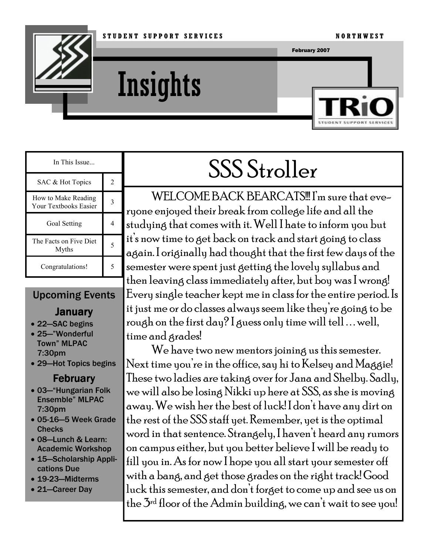

# **Insights**



| In This Issue                                       |  |
|-----------------------------------------------------|--|
| SAC & Hot Topics                                    |  |
| How to Make Reading<br><b>Your Textbooks Easier</b> |  |
| Goal Setting                                        |  |
| The Facts on Five Diet<br>Myths                     |  |
| Congratulations!                                    |  |

## Upcoming Events

### January January

- 22—SAC begins
- 25—"Wonderful Town" MLPAC 7:30pm
- 29—Hot Topics begins

### February

- 03—"Hungarian Folk Ensemble" MLPAC 7:30pm
- 05-16—5 Week Grade **Checks**
- 08—Lunch & Learn: Academic Workshop
- 15—Scholarship Applications Due
- 19-23—Midterms
- 21—Career Day

# SSS Stroller

WELCOME BACK BEARCATS!!! I'm sure that everyone enjoyed their break from college life and all the studying that comes with it. Well I hate to inform you but it's now time to get back on track and start going to class again. I originally had thought that the first few days of the semester were spent just getting the lovely syllabus and then leaving class immediately after, but boy was I wrong! Every single teacher kept me in class for the entire period. Is it just me or do classes always seem like they're going to be rough on the first day? I guess only time will tell  $\dots$  well, time and grades!

We have two new mentors joining us this semester. Next time you're in the office, say hi to Kelsey and Maggie! These two ladies are taking over for Jana and Shelby. Sadly, we will also be losing Nikki up here at SSS, as she is moving away. We wish her the best of luck! I don't have any dirt on the rest of the SSS staff yet. Remember, yet is the optimal word in that sentence. Strangely, I haven't heard any rumors on campus either, but you better believe I will be ready to fill you in. As for now I hope you all start your semester off with a bang, and get those grades on the right track! Good luck this semester, and don't forget to come up and see us on the 3rd floor of the Admin building, we can't wait to see you!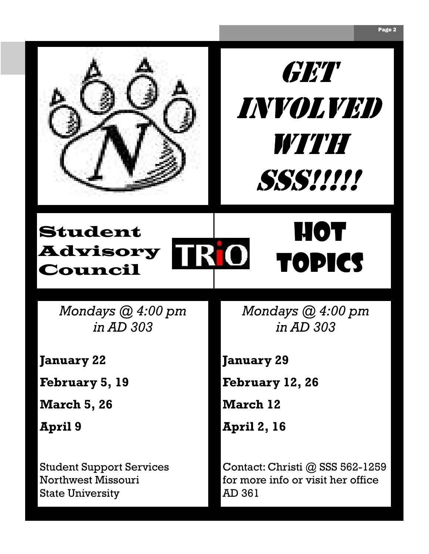



## Student Advisory Council

Mondays @ 4:00 pm in AD 303

January 22

February 5, 19

March 5, 26

### April 9

Student Support Services Northwest Missouri State University

Mondays @ 4:00 pm in AD 303

HOT

TOPICS

January 29

February 12, 26

March 12

April 2, 16

Contact: Christi @ SSS 562-1259 for more info or visit her office AD 361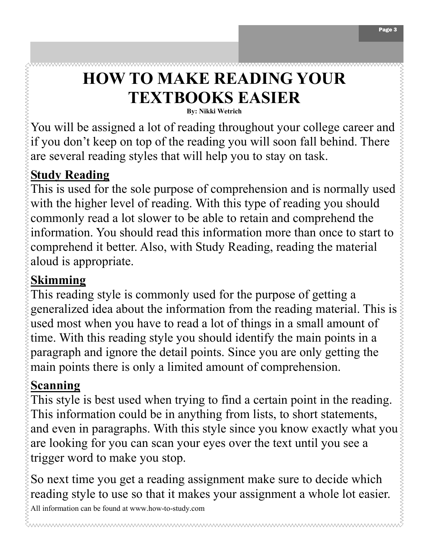# HOW TO MAKE READING YOUR TEXTBOOKS EASIER

By: Nikki Wetrich

You will be assigned a lot of reading throughout your college career and if you don't keep on top of the reading you will soon fall behind. There are several reading styles that will help you to stay on task.

## **Study Reading**

This is used for the sole purpose of comprehension and is normally used with the higher level of reading. With this type of reading you should commonly read a lot slower to be able to retain and comprehend the information. You should read this information more than once to start to comprehend it better. Also, with Study Reading, reading the material aloud is appropriate.

## **Skimming**

This reading style is commonly used for the purpose of getting a generalized idea about the information from the reading material. This is used most when you have to read a lot of things in a small amount of time. With this reading style you should identify the main points in a paragraph and ignore the detail points. Since you are only getting the main points there is only a limited amount of comprehension.

## **Scanning**

This style is best used when trying to find a certain point in the reading. This information could be in anything from lists, to short statements, and even in paragraphs. With this style since you know exactly what you are looking for you can scan your eyes over the text until you see a trigger word to make you stop.

So next time you get a reading assignment make sure to decide which reading style to use so that it makes your assignment a whole lot easier.

All information can be found at www.how-to-study.com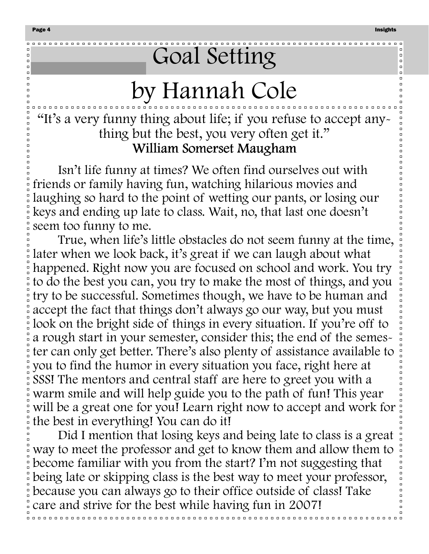$\Box$ 

 $\Box$  $\Box$ 

 $\begin{array}{cccccccccccccc} 0 & 0 & 0 & 0 & 0 & 0 \\ \end{array}$ 

# Goal Setting

# by Hannah Cole

"It's a very funny thing about life; if you refuse to accept anything but the best, you very often get it." William Somerset Maugham

Isn't life funny at times? We often find ourselves out with friends or family having fun, watching hilarious movies and laughing so hard to the point of wetting our pants, or losing our keys and ending up late to class. Wait, no, that last one doesn't seem too funny to me.

 True, when life's little obstacles do not seem funny at the time, later when we look back, it's great if we can laugh about what happened. Right now you are focused on school and work. You try to do the best you can, you try to make the most of things, and you try to be successful. Sometimes though, we have to be human and accept the fact that things don't always go our way, but you must look on the bright side of things in every situation. If you're off to a rough start in your semester, consider this; the end of the semester can only get better. There's also plenty of assistance available to you to find the humor in every situation you face, right here at SSS! The mentors and central staff are here to greet you with a warm smile and will help guide you to the path of fun! This year will be a great one for you! Learn right now to accept and work for the best in everything! You can do it!

 Did I mention that losing keys and being late to class is a great way to meet the professor and get to know them and allow them to become familiar with you from the start? I'm not suggesting that being late or skipping class is the best way to meet your professor, because you can always go to their office outside of class! Take care and strive for the best while having fun in 2007!

. . . . . . . .